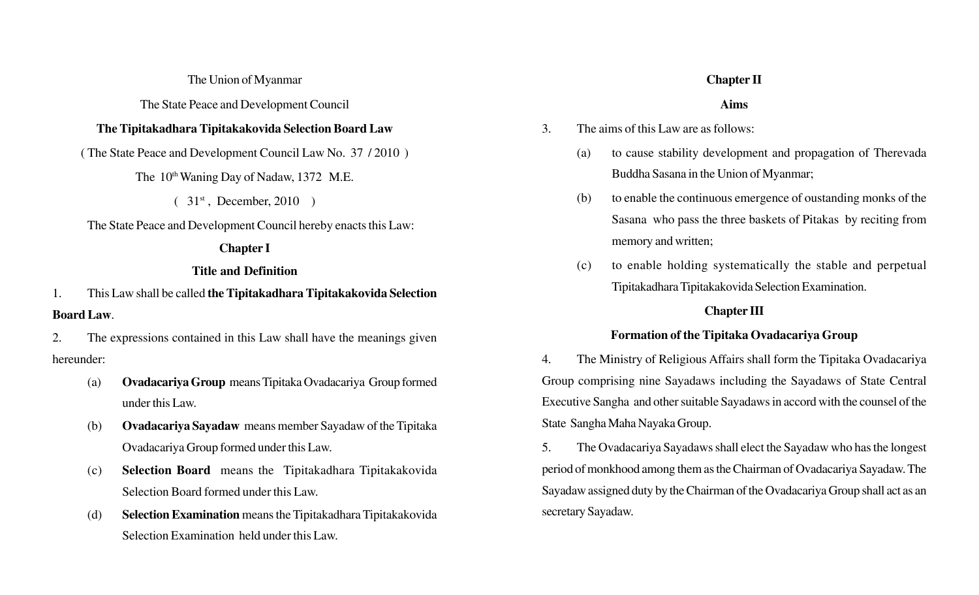#### The Union of Myanmar

The State Peace and Development Council

## **The Tipitakadhara Tipitakakovida Selection Board Law**

( The State Peace and Development Council Law No. 37 / 2010 )

The 10<sup>th</sup> Waning Day of Nadaw, 1372 M.E.

 $(31<sup>st</sup>, December, 2010)$ 

The State Peace and Development Council hereby enacts this Law:

## **Chapter I**

# **Title and Definition**

1. This Law shall be called **the Tipitakadhara Tipitakakovida Selection Board Law**.

2. The expressions contained in this Law shall have the meanings given hereunder:

- (a) **Ovadacariya Group** means Tipitaka Ovadacariya Group formed under this Law.
- (b) **Ovadacariya Sayadaw** means member Sayadaw of the Tipitaka Ovadacariya Group formed under this Law.
- (c) **Selection Board** means the Tipitakadhara Tipitakakovida Selection Board formed under this Law.
- (d) **Selection Examination** means the Tipitakadhara Tipitakakovida Selection Examination held under this Law.

# **Chapter II**

## **Aims**

- 3. The aims of this Law are as follows:
	- (a) to cause stability development and propagation of Therevada Buddha Sasana in the Union of Myanmar;
	- (b) to enable the continuous emergence of oustanding monks of the Sasana who pass the three baskets of Pitakas by reciting from memory and written;
	- (c) to enable holding systematically the stable and perpetual Tipitakadhara Tipitakakovida Selection Examination.

# **Chapter III**

# **Formation of the Tipitaka Ovadacariya Group**

4. The Ministry of Religious Affairs shall form the Tipitaka Ovadacariya Group comprising nine Sayadaws including the Sayadaws of State Central Executive Sangha and other suitable Sayadaws in accord with the counsel of the State Sangha Maha Nayaka Group.

5. The Ovadacariya Sayadaws shall elect the Sayadaw who has the longest period of monkhood among them as the Chairman of Ovadacariya Sayadaw. The Sayadaw assigned duty by the Chairman of the Ovadacariya Group shall act as an secretary Sayadaw.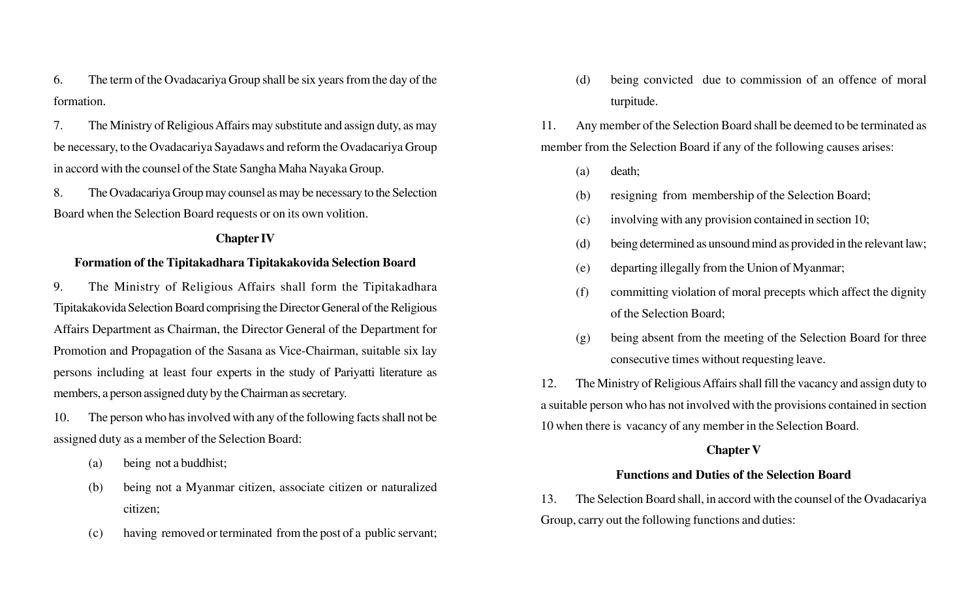6. The term of the Ovadacariya Group shall be six years from the day of the formation.

7. The Ministry of Religious Affairs may substitute and assign duty, as may be necessary, to the Ovadacariya Sayadaws and reform the Ovadacariya Group in accord with the counsel of the State Sangha Maha Nayaka Group.

8. The Ovadacariya Group may counsel as may be necessary to the Selection Board when the Selection Board requests or on its own volition.

### **Chapter IV**

## **Formation of the Tipitakadhara Tipitakakovida Selection Board**

9. The Ministry of Religious Affairs shall form the Tipitakadhara Tipitakakovida Selection Board comprising the Director General of the Religious Affairs Department as Chairman, the Director General of the Department for Promotion and Propagation of the Sasana as Vice-Chairman, suitable six lay persons including at least four experts in the study of Pariyatti literature as members, a person assigned duty by the Chairman as secretary.

10. The person who has involved with any of the following facts shall not be assigned duty as a member of the Selection Board:

- (a) being not a buddhist;
- (b) being not a Myanmar citizen, associate citizen or naturalized citizen;
- (c) having removed or terminated from the post of a public servant;

(d) being convicted due to commission of an offence of moral turpitude.

11. Any member of the Selection Board shall be deemed to be terminated as member from the Selection Board if any of the following causes arises:

- (a) death;
- (b) resigning from membership of the Selection Board;
- (c) involving with any provision contained in section 10;
- (d) being determined as unsound mind as provided in the relevant law;
- (e) departing illegally from the Union of Myanmar;
- (f) committing violation of moral precepts which affect the dignity of the Selection Board;
- (g) being absent from the meeting of the Selection Board for three consecutive times without requesting leave.

12. The Ministry of Religious Affairs shall fill the vacancy and assign duty to a suitable person who has not involved with the provisions contained in section 10 when there is vacancy of any member in the Selection Board.

#### **Chapter V**

## **Functions and Duties of the Selection Board**

13. The Selection Board shall, in accord with the counsel of the Ovadacariya Group, carry out the following functions and duties: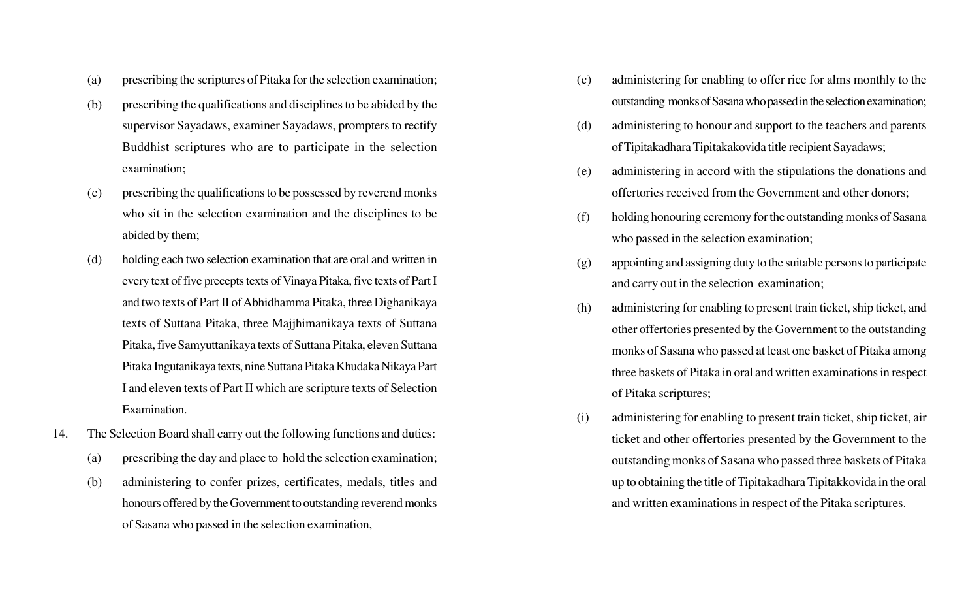- (a) prescribing the scriptures of Pitaka for the selection examination;
- (b) prescribing the qualifications and disciplines to be abided by the supervisor Sayadaws, examiner Sayadaws, prompters to rectify Buddhist scriptures who are to participate in the selection examination;
- (c) prescribing the qualifications to be possessed by reverend monks who sit in the selection examination and the disciplines to be abided by them;
- (d) holding each two selection examination that are oral and written in every text of five precepts texts of Vinaya Pitaka, five texts of Part I and two texts of Part II of Abhidhamma Pitaka, three Dighanikaya texts of Suttana Pitaka, three Majjhimanikaya texts of Suttana Pitaka, five Samyuttanikaya texts of Suttana Pitaka, eleven Suttana Pitaka Ingutanikaya texts, nine Suttana Pitaka Khudaka Nikaya Part I and eleven texts of Part II which are scripture texts of Selection Examination.
- 14. The Selection Board shall carry out the following functions and duties:
	- (a) prescribing the day and place to hold the selection examination;
	- (b) administering to confer prizes, certificates, medals, titles and honours offered by the Government to outstanding reverend monks of Sasana who passed in the selection examination,
- (c) administering for enabling to offer rice for alms monthly to the outstanding monks of Sasana who passed in the selection examination;
- (d) administering to honour and support to the teachers and parents of Tipitakadhara Tipitakakovida title recipient Sayadaws;
- (e) administering in accord with the stipulations the donations and offertories received from the Government and other donors;
- (f) holding honouring ceremony for the outstanding monks of Sasana who passed in the selection examination;
- (g) appointing and assigning duty to the suitable persons to participate and carry out in the selection examination;
- (h) administering for enabling to present train ticket, ship ticket, and other offertories presented by the Government to the outstanding monks of Sasana who passed at least one basket of Pitaka among three baskets of Pitaka in oral and written examinations in respect of Pitaka scriptures;
- (i) administering for enabling to present train ticket, ship ticket, air ticket and other offertories presented by the Government to the outstanding monks of Sasana who passed three baskets of Pitaka up to obtaining the title of Tipitakadhara Tipitakkovida in the oral and written examinations in respect of the Pitaka scriptures.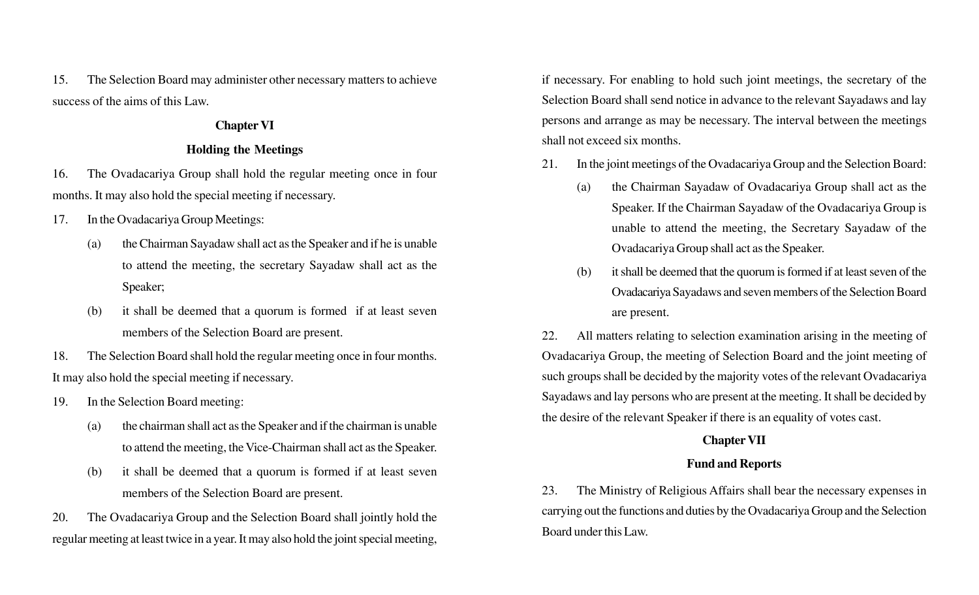15. The Selection Board may administer other necessary matters to achieve success of the aims of this Law.

## **Chapter VI**

## **Holding the Meetings**

16. The Ovadacariya Group shall hold the regular meeting once in four months. It may also hold the special meeting if necessary.

- 17. In the Ovadacariya Group Meetings:
	- (a) the Chairman Sayadaw shall act as the Speaker and if he is unable to attend the meeting, the secretary Sayadaw shall act as the Speaker;
	- (b) it shall be deemed that a quorum is formed if at least seven members of the Selection Board are present.
- 18. The Selection Board shall hold the regular meeting once in four months. It may also hold the special meeting if necessary.
- 19. In the Selection Board meeting:
	- (a) the chairman shall act as the Speaker and if the chairman is unable to attend the meeting, the Vice-Chairman shall act as the Speaker.
	- (b) it shall be deemed that a quorum is formed if at least seven members of the Selection Board are present.

20. The Ovadacariya Group and the Selection Board shall jointly hold the regular meeting at least twice in a year. It may also hold the joint special meeting,

if necessary. For enabling to hold such joint meetings, the secretary of the Selection Board shall send notice in advance to the relevant Sayadaws and lay persons and arrange as may be necessary. The interval between the meetings shall not exceed six months.

- 21. In the joint meetings of the Ovadacariya Group and the Selection Board:
	- (a) the Chairman Sayadaw of Ovadacariya Group shall act as the Speaker. If the Chairman Sayadaw of the Ovadacariya Group is unable to attend the meeting, the Secretary Sayadaw of the Ovadacariya Group shall act as the Speaker.
	- (b) it shall be deemed that the quorum is formed if at least seven of the Ovadacariya Sayadaws and seven members of the Selection Board are present.

22. All matters relating to selection examination arising in the meeting of Ovadacariya Group, the meeting of Selection Board and the joint meeting of such groups shall be decided by the majority votes of the relevant Ovadacariya Sayadaws and lay persons who are present at the meeting. It shall be decided by the desire of the relevant Speaker if there is an equality of votes cast.

## **Chapter VII**

## **Fund and Reports**

23. The Ministry of Religious Affairs shall bear the necessary expenses in carrying out the functions and duties by the Ovadacariya Group and the Selection Board under this Law.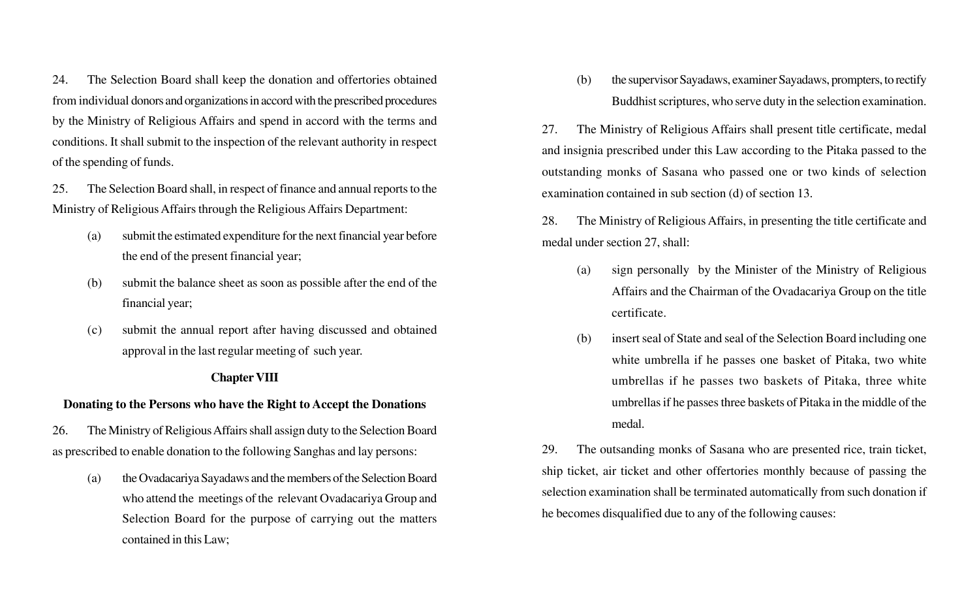24. The Selection Board shall keep the donation and offertories obtained from individual donors and organizations in accord with the prescribed procedures by the Ministry of Religious Affairs and spend in accord with the terms and conditions. It shall submit to the inspection of the relevant authority in respect of the spending of funds.

25. The Selection Board shall, in respect of finance and annual reports to the Ministry of Religious Affairs through the Religious Affairs Department:

- (a) submit the estimated expenditure for the next financial year before the end of the present financial year;
- (b) submit the balance sheet as soon as possible after the end of the financial year;
- (c) submit the annual report after having discussed and obtained approval in the last regular meeting of such year.

### **Chapter VIII**

### **Donating to the Persons who have the Right to Accept the Donations**

26. The Ministry of Religious Affairs shall assign duty to the Selection Board as prescribed to enable donation to the following Sanghas and lay persons:

(a) the Ovadacariya Sayadaws and the members of the Selection Board who attend the meetings of the relevant Ovadacariya Group and Selection Board for the purpose of carrying out the matters contained in this Law;

(b) the supervisor Sayadaws, examiner Sayadaws, prompters, to rectify Buddhist scriptures, who serve duty in the selection examination.

27. The Ministry of Religious Affairs shall present title certificate, medal and insignia prescribed under this Law according to the Pitaka passed to the outstanding monks of Sasana who passed one or two kinds of selection examination contained in sub section (d) of section 13.

28. The Ministry of Religious Affairs, in presenting the title certificate and medal under section 27, shall:

- (a) sign personally by the Minister of the Ministry of Religious Affairs and the Chairman of the Ovadacariya Group on the title certificate.
- (b) insert seal of State and seal of the Selection Board including one white umbrella if he passes one basket of Pitaka, two white umbrellas if he passes two baskets of Pitaka, three white umbrellas if he passes three baskets of Pitaka in the middle of the medal.

29. The outsanding monks of Sasana who are presented rice, train ticket, ship ticket, air ticket and other offertories monthly because of passing the selection examination shall be terminated automatically from such donation if he becomes disqualified due to any of the following causes: